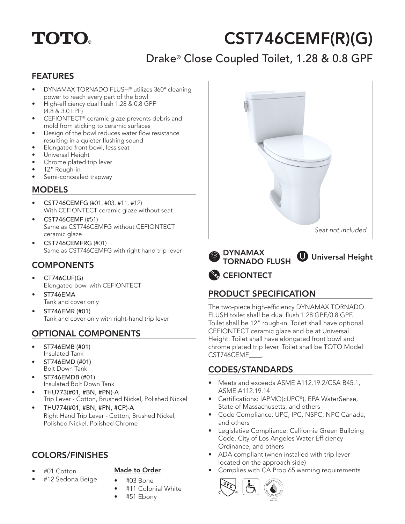# **TOTO.**

# CST746CEMF(R)(G)

# Drake® Close Coupled Toilet, 1.28 & 0.8 GPF

## FEATURES

- DYNAMAX TORNADO FLUSH® utilizes 360º cleaning power to reach every part of the bowl
- High-efficiency dual flush 1.28 & 0.8 GPF (4.8 & 3.0 LPF)
- CEFIONTECT® ceramic glaze prevents debris and mold from sticking to ceramic surfaces
- Design of the bowl reduces water flow resistance resulting in a quieter flushing sound
- Elongated front bowl, less seat
- Universal Height
- Chrome plated trip lever
- 12" Rough-in
- Semi-concealed trapway

## **MODELS**

- CST746CEMFG (#01, #03, #11, #12) With CEFIONTECT ceramic glaze without seat
- CST746CEMF (#51) Same as CST746CEMFG without CEFIONTECT ceramic glaze
- CST746CEMFRG (#01) Same as CST746CEMFG with right hand trip lever

# **COMPONENTS**

- CT746CUF(G) Elongated bowl with CEFIONTECT
- ST746EMA Tank and cover only
- ST746EMR (#01) Tank and cover only with right-hand trip lever

# OPTIONAL COMPONENTS

- ST746EMB (#01) Insulated Tank
- ST746EMD (#01) Bolt Down Tank
- ST746EMDB (#01) Insulated Bolt Down Tank
- THU773(#01, #BN, #PN)-A Trip Lever - Cotton, Brushed Nickel, Polished Nickel
- THU774(#01, #BN, #PN, #CP)-A Right Hand Trip Lever - Cotton, Brushed Nickel, Polished Nickel, Polished Chrome

# COLORS/FINISHES

• #01 Cotton

#### Made to Order

- #12 Sedona Beige
- #03 Bone • #11 Colonial White
- #51 Ebony



DYNAMAX TORNADO FLUSH **U** Universal Height

# **CEFIONTECT**

# PRODUCT SPECIFICATION

The two-piece high-efficiency DYNAMAX TORNADO FLUSH toilet shall be dual flush 1.28 GPF/0.8 GPF. Toilet shall be 12" rough-in. Toilet shall have optional CEFIONTECT ceramic glaze and be at Universal Height. Toilet shall have elongated front bowl and chrome plated trip lever. Toilet shall be TOTO Model CST746CEMF\_\_\_\_.

# CODES/STANDARDS

- Meets and exceeds ASME A112.19.2/CSA B45.1, ASME A112.19.14
- Certifications: IAPMO(cUPC®), EPA WaterSense, State of Massachusetts, and others
- Code Compliance: UPC, IPC, NSPC, NPC Canada, and others
- Legislative Compliance: California Green Building Code, City of Los Angeles Water Efficiency Ordinance, and others
- ADA compliant (when installed with trip lever located on the approach side)
- Complies with CA Prop 65 warning requirements